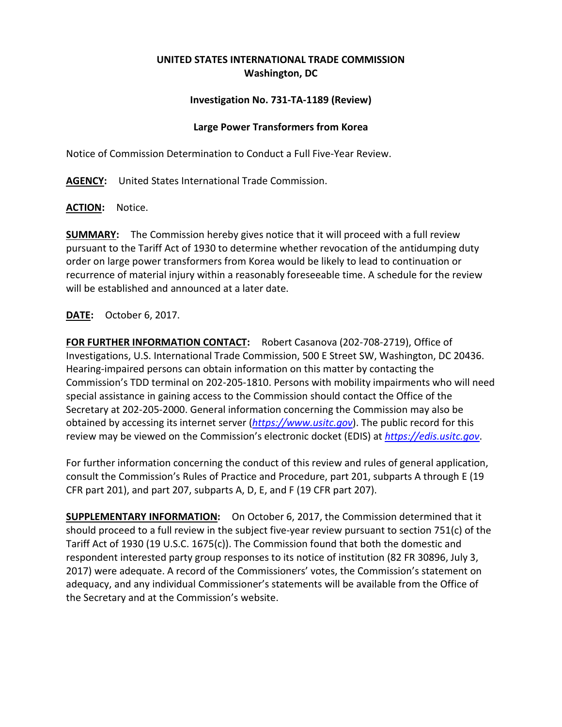## **UNITED STATES INTERNATIONAL TRADE COMMISSION Washington, DC**

## **Investigation No. 731-TA-1189 (Review)**

## **Large Power Transformers from Korea**

Notice of Commission Determination to Conduct a Full Five-Year Review.

**AGENCY:** United States International Trade Commission.

**ACTION:** Notice.

**SUMMARY:** The Commission hereby gives notice that it will proceed with a full review pursuant to the Tariff Act of 1930 to determine whether revocation of the antidumping duty order on large power transformers from Korea would be likely to lead to continuation or recurrence of material injury within a reasonably foreseeable time. A schedule for the review will be established and announced at a later date.

**DATE:** October 6, 2017.

**FOR FURTHER INFORMATION CONTACT:** Robert Casanova (202-708-2719), Office of Investigations, U.S. International Trade Commission, 500 E Street SW, Washington, DC 20436. Hearing-impaired persons can obtain information on this matter by contacting the Commission's TDD terminal on 202-205-1810. Persons with mobility impairments who will need special assistance in gaining access to the Commission should contact the Office of the Secretary at 202-205-2000. General information concerning the Commission may also be obtained by accessing its internet server (*[https://www.usitc.gov](https://www.usitc.gov/)*). The public record for this review may be viewed on the Commission's electronic docket (EDIS) at *[https://edis.usitc.gov](https://edis.usitc.gov/)*.

For further information concerning the conduct of this review and rules of general application, consult the Commission's Rules of Practice and Procedure, part 201, subparts A through E (19 CFR part 201), and part 207, subparts A, D, E, and F (19 CFR part 207).

**SUPPLEMENTARY INFORMATION:** On October 6, 2017, the Commission determined that it should proceed to a full review in the subject five-year review pursuant to section 751(c) of the Tariff Act of 1930 (19 U.S.C. 1675(c)). The Commission found that both the domestic and respondent interested party group responses to its notice of institution (82 FR 30896, July 3, 2017) were adequate. A record of the Commissioners' votes, the Commission's statement on adequacy, and any individual Commissioner's statements will be available from the Office of the Secretary and at the Commission's website.